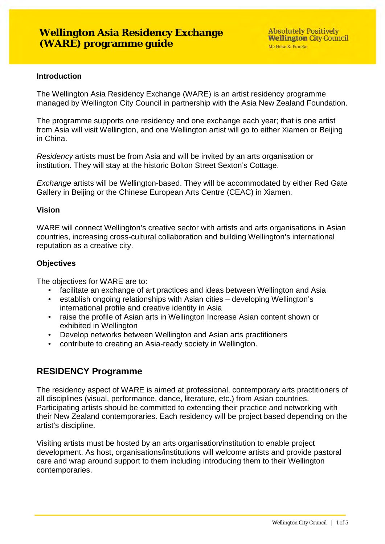#### **Introduction**

The Wellington Asia Residency Exchange (WARE) is an artist residency programme managed by Wellington City Council in partnership with the Asia New Zealand Foundation.

The programme supports one residency and one exchange each year; that is one artist from Asia will visit Wellington, and one Wellington artist will go to either Xiamen or Beijing in China.

*Residency* artists must be from Asia and will be invited by an arts organisation or institution. They will stay at the historic Bolton Street Sexton's Cottage.

*Exchange* artists will be Wellington-based. They will be accommodated by either Red Gate Gallery in Beijing or the Chinese European Arts Centre (CEAC) in Xiamen.

#### **Vision**

WARE will connect Wellington's creative sector with artists and arts organisations in Asian countries, increasing cross-cultural collaboration and building Wellington's international reputation as a creative city.

#### **Objectives**

The objectives for WARE are to:

- facilitate an exchange of art practices and ideas between Wellington and Asia<br>• establish ongoing relationships with Asian cities developing Wellington's
- establish ongoing relationships with Asian cities developing Wellington's international profile and creative identity in Asia
- raise the profile of Asian arts in Wellington Increase Asian content shown or exhibited in Wellington
- Develop networks between Wellington and Asian arts practitioners
- contribute to creating an Asia-ready society in Wellington.

## **RESIDENCY Programme**

The residency aspect of WARE is aimed at professional, contemporary arts practitioners of all disciplines (visual, performance, dance, literature, etc.) from Asian countries. Participating artists should be committed to extending their practice and networking with their New Zealand contemporaries. Each residency will be project based depending on the artist's discipline.

Visiting artists must be hosted by an arts organisation/institution to enable project development. As host, organisations/institutions will welcome artists and provide pastoral care and wrap around support to them including introducing them to their Wellington contemporaries.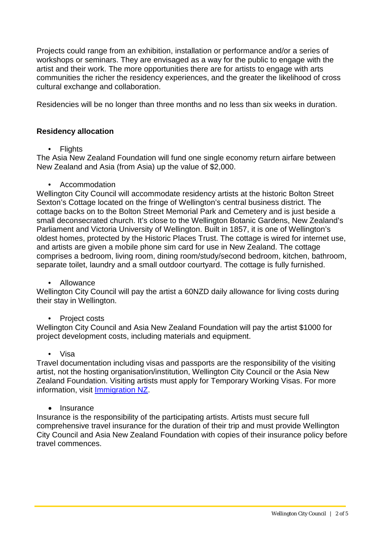Projects could range from an exhibition, installation or performance and/or a series of workshops or seminars. They are envisaged as a way for the public to engage with the artist and their work. The more opportunities there are for artists to engage with arts communities the richer the residency experiences, and the greater the likelihood of cross cultural exchange and collaboration.

Residencies will be no longer than three months and no less than six weeks in duration.

## **Residency allocation**

• Flights

The Asia New Zealand Foundation will fund one single economy return airfare between New Zealand and Asia (from Asia) up the value of \$2,000.

• Accommodation

Wellington City Council will accommodate residency artists at the historic Bolton Street Sexton's Cottage located on the fringe of Wellington's central business district. The cottage backs on to the Bolton Street Memorial Park and Cemetery and is just beside a small deconsecrated church. It's close to the Wellington Botanic Gardens, New Zealand's Parliament and Victoria University of Wellington. Built in 1857, it is one of Wellington's oldest homes, protected by the Historic Places Trust. The cottage is wired for internet use, and artists are given a mobile phone sim card for use in New Zealand. The cottage comprises a bedroom, living room, dining room/study/second bedroom, kitchen, bathroom, separate toilet, laundry and a small outdoor courtyard. The cottage is fully furnished.

### • Allowance

Wellington City Council will pay the artist a 60NZD daily allowance for living costs during their stay in Wellington.

### • Project costs

Wellington City Council and Asia New Zealand Foundation will pay the artist \$1000 for project development costs, including materials and equipment.

#### • Visa

Travel documentation including visas and passports are the responsibility of the visiting artist, not the hosting organisation/institution, Wellington City Council or the Asia New Zealand Foundation. Visiting artists must apply for Temporary Working Visas. For more information, visit [Immigration NZ.](https://www.immigration.govt.nz/new-zealand-visas)

### • Insurance

Insurance is the responsibility of the participating artists. Artists must secure full comprehensive travel insurance for the duration of their trip and must provide Wellington City Council and Asia New Zealand Foundation with copies of their insurance policy before travel commences.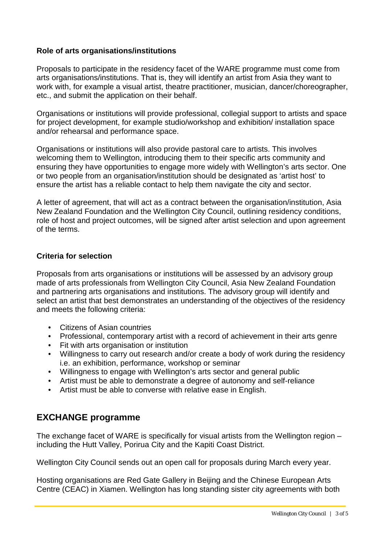## **Role of arts organisations/institutions**

Proposals to participate in the residency facet of the WARE programme must come from arts organisations/institutions. That is, they will identify an artist from Asia they want to work with, for example a visual artist, theatre practitioner, musician, dancer/choreographer, etc., and submit the application on their behalf.

Organisations or institutions will provide professional, collegial support to artists and space for project development, for example studio/workshop and exhibition/ installation space and/or rehearsal and performance space.

Organisations or institutions will also provide pastoral care to artists. This involves welcoming them to Wellington, introducing them to their specific arts community and ensuring they have opportunities to engage more widely with Wellington's arts sector. One or two people from an organisation/institution should be designated as 'artist host' to ensure the artist has a reliable contact to help them navigate the city and sector.

A letter of agreement, that will act as a contract between the organisation/institution, Asia New Zealand Foundation and the Wellington City Council, outlining residency conditions, role of host and project outcomes, will be signed after artist selection and upon agreement of the terms.

### **Criteria for selection**

Proposals from arts organisations or institutions will be assessed by an advisory group made of arts professionals from Wellington City Council, Asia New Zealand Foundation and partnering arts organisations and institutions. The advisory group will identify and select an artist that best demonstrates an understanding of the objectives of the residency and meets the following criteria:

- Citizens of Asian countries
- Professional, contemporary artist with a record of achievement in their arts genre
- Fit with arts organisation or institution
- Willingness to carry out research and/or create a body of work during the residency i.e. an exhibition, performance, workshop or seminar
- Willingness to engage with Wellington's arts sector and general public
- Artist must be able to demonstrate a degree of autonomy and self-reliance
- Artist must be able to converse with relative ease in English.

# **EXCHANGE programme**

The exchange facet of WARE is specifically for visual artists from the Wellington region – including the Hutt Valley, Porirua City and the Kapiti Coast District.

Wellington City Council sends out an open call for proposals during March every year.

Hosting organisations are Red Gate Gallery in Beijing and the Chinese European Arts Centre (CEAC) in Xiamen. Wellington has long standing sister city agreements with both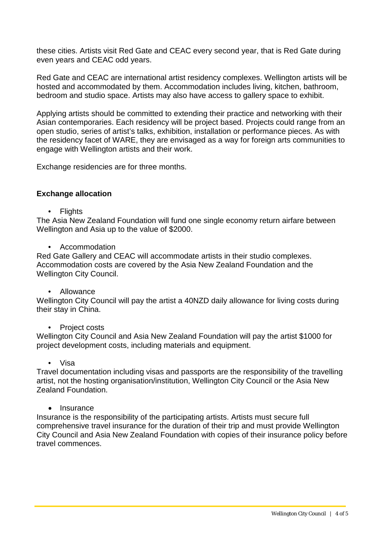these cities. Artists visit Red Gate and CEAC every second year, that is Red Gate during even years and CEAC odd years.

Red Gate and CEAC are international artist residency complexes. Wellington artists will be hosted and accommodated by them. Accommodation includes living, kitchen, bathroom, bedroom and studio space. Artists may also have access to gallery space to exhibit.

Applying artists should be committed to extending their practice and networking with their Asian contemporaries. Each residency will be project based. Projects could range from an open studio, series of artist's talks, exhibition, installation or performance pieces. As with the residency facet of WARE, they are envisaged as a way for foreign arts communities to engage with Wellington artists and their work.

Exchange residencies are for three months.

#### **Exchange allocation**

• Flights

The Asia New Zealand Foundation will fund one single economy return airfare between Wellington and Asia up to the value of \$2000.

• Accommodation

Red Gate Gallery and CEAC will accommodate artists in their studio complexes. Accommodation costs are covered by the Asia New Zealand Foundation and the Wellington City Council.

• Allowance

Wellington City Council will pay the artist a 40NZD daily allowance for living costs during their stay in China.

• Project costs

Wellington City Council and Asia New Zealand Foundation will pay the artist \$1000 for project development costs, including materials and equipment.

• Visa

Travel documentation including visas and passports are the responsibility of the travelling artist, not the hosting organisation/institution, Wellington City Council or the Asia New Zealand Foundation.

• Insurance

Insurance is the responsibility of the participating artists. Artists must secure full comprehensive travel insurance for the duration of their trip and must provide Wellington City Council and Asia New Zealand Foundation with copies of their insurance policy before travel commences.